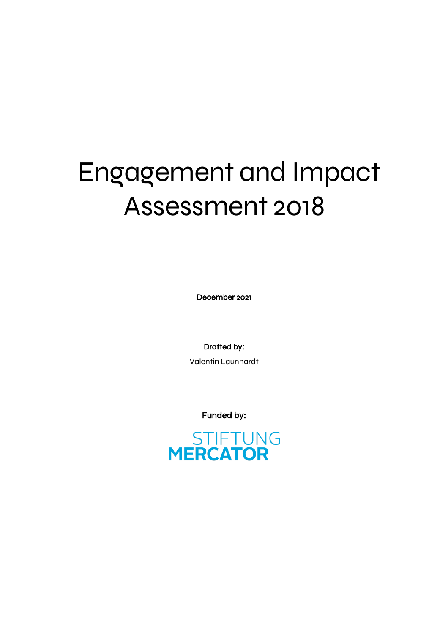# Engagement and Impact Assessment 2018

December 2021

Drafted by:

Valentin Launhardt

Funded by:

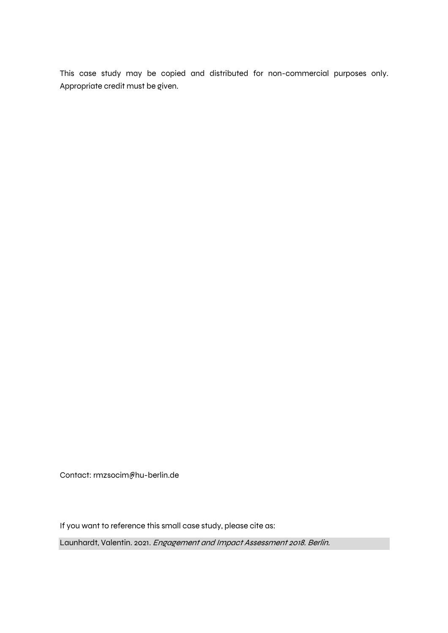This case study may be copied and distributed for non-commercial purposes only. Appropriate credit must be given.

Contact: rmzsocim@hu-berlin.de

If you want to reference this small case study, please cite as:

Launhardt, Valentin. 2021. Engagement and Impact Assessment 2018. Berlin.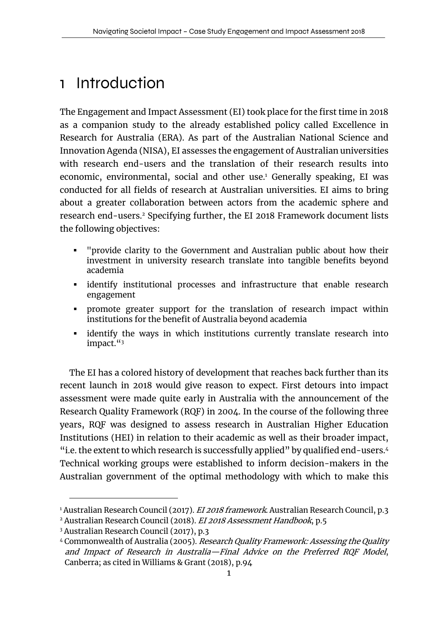## 1 Introduction

The Engagement and Impact Assessment (EI) took place for the first time in 2018 as a companion study to the already established policy called Excellence in Research for Australia (ERA). As part of the Australian National Science and Innovation Agenda (NISA), EI assesses the engagement of Australian universities with research end-users and the translation of their research results into economic, environmental, social and other use.<sup>1</sup> Generally speaking, EI was conducted for all fields of research at Australian universities. EI aims to bring about a greater collaboration between actors from the academic sphere and research end-users. <sup>2</sup> Specifying further, the EI 2018 Framework document lists the following objectives:

- § "provide clarity to the Government and Australian public about how their investment in university research translate into tangible benefits beyond academia
- identify institutional processes and infrastructure that enable research engagement
- promote greater support for the translation of research impact within institutions for the benefit of Australia beyond academia
- identify the ways in which institutions currently translate research into impact."3

The EI has a colored history of development that reaches back further than its recent launch in 2018 would give reason to expect. First detours into impact assessment were made quite early in Australia with the announcement of the Research Quality Framework (RQF) in 2004. In the course of the following three years, RQF was designed to assess research in Australian Higher Education Institutions (HEI) in relation to their academic as well as their broader impact, "i.e. the extent to which research is successfully applied" by qualified end-users.4 Technical working groups were established to inform decision-makers in the Australian government of the optimal methodology with which to make this

<sup>&</sup>lt;sup>1</sup> Australian Research Council (2017). *EI 2018 framework*. Australian Research Council, p.3 <sup>2</sup> Australian Research Council (2018). EI 2018 Assessment Handbook, p.5

<sup>3</sup> Australian Research Council (2017), p.3

<sup>&</sup>lt;sup>4</sup> Commonwealth of Australia (2005). Research Quality Framework: Assessing the Quality and Impact of Research in Australia—Final Advice on the Preferred RQF Model, Canberra; as cited in Williams & Grant (2018), p.94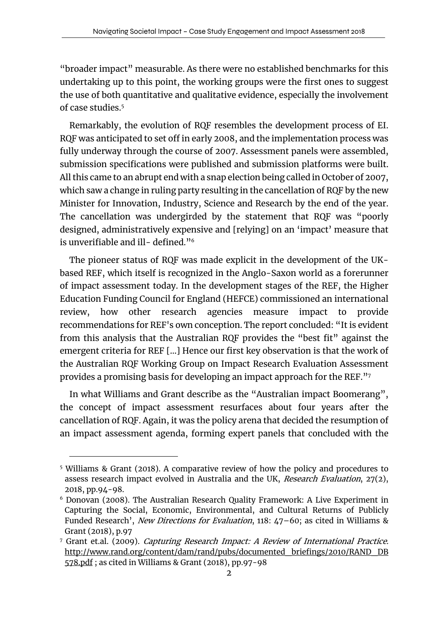"broader impact" measurable. As there were no established benchmarks for this undertaking up to this point, the working groups were the first ones to suggest the use of both quantitative and qualitative evidence, especially the involvement of case studies. 5

Remarkably, the evolution of RQF resembles the development process of EI. RQF was anticipated to set off in early 2008, and the implementation process was fully underway through the course of 2007. Assessment panels were assembled, submission specifications were published and submission platforms were built. All this came to an abrupt end with a snap election being called in October of 2007, which saw a change in ruling party resulting in the cancellation of RQF by the new Minister for Innovation, Industry, Science and Research by the end of the year. The cancellation was undergirded by the statement that RQF was "poorly designed, administratively expensive and [relying] on an 'impact' measure that is unverifiable and ill- defined."6

The pioneer status of RQF was made explicit in the development of the UKbased REF, which itself is recognized in the Anglo-Saxon world as a forerunner of impact assessment today. In the development stages of the REF, the Higher Education Funding Council for England (HEFCE) commissioned an international review, how other research agencies measure impact to provide recommendations for REF's own conception. The report concluded: "It is evident from this analysis that the Australian RQF provides the "best fit" against the emergent criteria for REF […] Hence our first key observation is that the work of the Australian RQF Working Group on Impact Research Evaluation Assessment provides a promising basis for developing an impact approach for the REF."7

In what Williams and Grant describe as the "Australian impact Boomerang", the concept of impact assessment resurfaces about four years after the cancellation of RQF. Again, it was the policy arena that decided the resumption of an impact assessment agenda, forming expert panels that concluded with the

<sup>5</sup> Williams & Grant (2018). A comparative review of how the policy and procedures to assess research impact evolved in Australia and the UK, Research Evaluation, 27(2), 2018, pp.94-98.

 $6$  Donovan (2008). The Australian Research Quality Framework: A Live Experiment in Capturing the Social, Economic, Environmental, and Cultural Returns of Publicly Funded Research', New Directions for Evaluation, 118: 47-60; as cited in Williams & Grant (2018), p.97

<sup>&</sup>lt;sup>7</sup> Grant et.al. (2009). *Capturing Research Impact: A Review of International Practice.* http://www.rand.org/content/dam/rand/pubs/documented\_briefings/2010/RAND\_DB 578.pdf ; as cited in Williams & Grant (2018), pp.97-98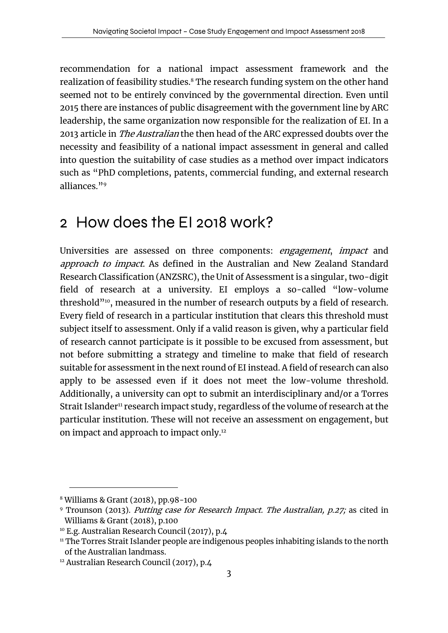recommendation for a national impact assessment framework and the realization of feasibility studies. <sup>8</sup> The research funding system on the other hand seemed not to be entirely convinced by the governmental direction. Even until 2015 there are instances of public disagreement with the government line by ARC leadership, the same organization now responsible for the realization of EI. In a 2013 article in The Australian the then head of the ARC expressed doubts over the necessity and feasibility of a national impact assessment in general and called into question the suitability of case studies as a method over impact indicators such as "PhD completions, patents, commercial funding, and external research alliances."9

### 2 How does the EI 2018 work?

Universities are assessed on three components: engagement, impact and approach to impact. As defined in the Australian and New Zealand Standard Research Classification (ANZSRC), the Unit of Assessment is a singular, two-digit field of research at a university. EI employs a so-called "low-volume threshold"<sup>10</sup>, measured in the number of research outputs by a field of research. Every field of research in a particular institution that clears this threshold must subject itself to assessment. Only if a valid reason is given, why a particular field of research cannot participate is it possible to be excused from assessment, but not before submitting a strategy and timeline to make that field of research suitable for assessment in the next round of EI instead. A field of research can also apply to be assessed even if it does not meet the low-volume threshold. Additionally, a university can opt to submit an interdisciplinary and/or a Torres Strait Islander<sup>11</sup> research impact study, regardless of the volume of research at the particular institution. These will not receive an assessment on engagement, but on impact and approach to impact only. 12

<sup>8</sup> Williams & Grant (2018), pp.98-100

<sup>&</sup>lt;sup>9</sup> Trounson (2013). *Putting case for Research Impact. The Australian, p.27;* as cited in Williams & Grant (2018), p.100

<sup>10</sup> E.g. Australian Research Council (2017), p.4

<sup>&</sup>lt;sup>11</sup> The Torres Strait Islander people are indigenous peoples inhabiting islands to the north of the Australian landmass.

<sup>&</sup>lt;sup>12</sup> Australian Research Council (2017), p.4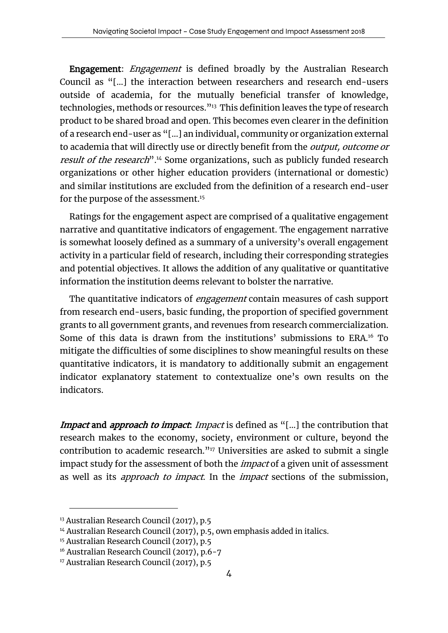**Engagement:** *Engagement* is defined broadly by the Australian Research Council as "[…] the interaction between researchers and research end-users outside of academia, for the mutually beneficial transfer of knowledge, technologies, methods or resources.<sup>"13</sup> This definition leaves the type of research product to be shared broad and open. This becomes even clearer in the definition of a research end-user as "[…] an individual, community or organization external to academia that will directly use or directly benefit from the *output, outcome or* result of the research<sup>" 14</sup> Some organizations, such as publicly funded research organizations or other higher education providers (international or domestic) and similar institutions are excluded from the definition of a research end-user for the purpose of the assessment.<sup>15</sup>

Ratings for the engagement aspect are comprised of a qualitative engagement narrative and quantitative indicators of engagement. The engagement narrative is somewhat loosely defined as a summary of a university's overall engagement activity in a particular field of research, including their corresponding strategies and potential objectives. It allows the addition of any qualitative or quantitative information the institution deems relevant to bolster the narrative.

The quantitative indicators of *engagement* contain measures of cash support from research end-users, basic funding, the proportion of specified government grants to all government grants, and revenues from research commercialization. Some of this data is drawn from the institutions' submissions to ERA.<sup>16</sup> To mitigate the difficulties of some disciplines to show meaningful results on these quantitative indicators, it is mandatory to additionally submit an engagement indicator explanatory statement to contextualize one's own results on the indicators.

Impact and approach to impact. Impact is defined as "[...] the contribution that research makes to the economy, society, environment or culture, beyond the contribution to academic research."17 Universities are asked to submit a single impact study for the assessment of both the *impact* of a given unit of assessment as well as its *approach to impact*. In the *impact* sections of the submission,

<sup>13</sup> Australian Research Council (2017), p.5

<sup>&</sup>lt;sup>14</sup> Australian Research Council (2017), p.5, own emphasis added in italics.

<sup>&</sup>lt;sup>15</sup> Australian Research Council (2017), p.5

<sup>16</sup> Australian Research Council (2017), p.6-7

<sup>&</sup>lt;sup>17</sup> Australian Research Council (2017), p.5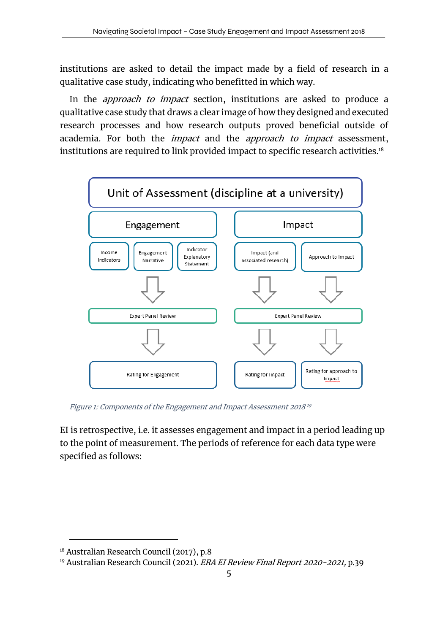institutions are asked to detail the impact made by a field of research in a qualitative case study, indicating who benefitted in which way.

In the *approach to impact* section, institutions are asked to produce a qualitative case study that draws a clear image of how they designed and executed research processes and how research outputs proved beneficial outside of academia. For both the *impact* and the *approach to impact* assessment, institutions are required to link provided impact to specific research activities. 18



Figure 1: Components of the Engagement and Impact Assessment <sup>2018</sup><sup>19</sup>

EI is retrospective, i.e. it assesses engagement and impact in a period leading up to the point of measurement. The periods of reference for each data type were specified as follows:

<sup>&</sup>lt;sup>18</sup> Australian Research Council (2017), p.8

<sup>&</sup>lt;sup>19</sup> Australian Research Council (2021). ERA EI Review Final Report 2020-2021, p.39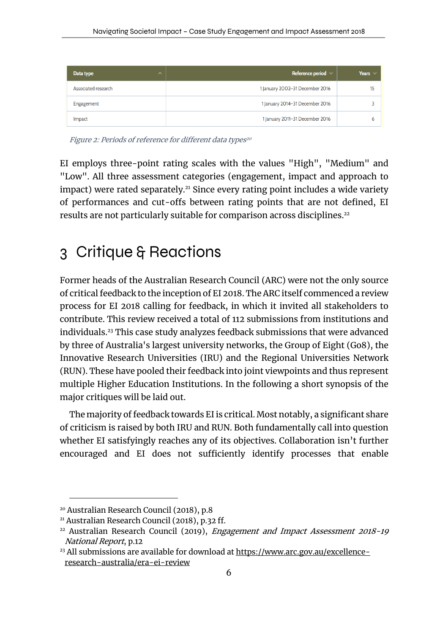| Data type<br>$\hat{\phantom{a}}$ | Reference period $\vee$         | Years $\vee$ |
|----------------------------------|---------------------------------|--------------|
| Associated research              | 1 January 2002-31 December 2016 | 15           |
| Engagement                       | 1 January 2014-31 December 2016 |              |
| Impact                           | 1 January 2011-31 December 2016 | b            |

Figure 2: Periods of reference for different data types<sup>20</sup>

EI employs three-point rating scales with the values "High", "Medium" and "Low". All three assessment categories (engagement, impact and approach to impact) were rated separately.<sup>21</sup> Since every rating point includes a wide variety of performances and cut-offs between rating points that are not defined, EI results are not particularly suitable for comparison across disciplines.<sup>22</sup>

### 3 Critique & Reactions

Former heads of the Australian Research Council (ARC) were not the only source of critical feedback to the inception of EI 2018. The ARC itself commenced a review process for EI 2018 calling for feedback, in which it invited all stakeholders to contribute. This review received a total of 112 submissions from institutions and individuals.23 This case study analyzes feedback submissions that were advanced by three of Australia's largest university networks, the Group of Eight (Go8), the Innovative Research Universities (IRU) and the Regional Universities Network (RUN). These have pooled their feedback into joint viewpoints and thus represent multiple Higher Education Institutions. In the following a short synopsis of the major critiques will be laid out.

The majority of feedback towards EI is critical. Most notably, a significant share of criticism is raised by both IRU and RUN. Both fundamentally call into question whether EI satisfyingly reaches any of its objectives. Collaboration isn't further encouraged and EI does not sufficiently identify processes that enable

<sup>20</sup> Australian Research Council (2018), p.8

<sup>21</sup> Australian Research Council (2018), p.32 ff.

 $22$  Australian Research Council (2019), *Engagement and Impact Assessment 2018-19* National Report, p.12

<sup>&</sup>lt;sup>23</sup> All submissions are available for download at https://www.arc.gov.au/excellenceresearch-australia/era-ei-review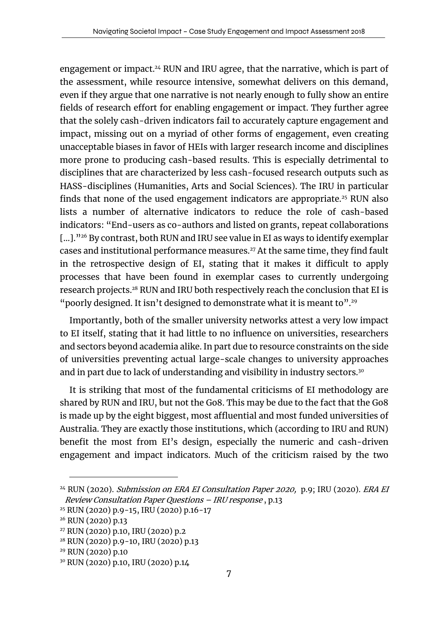engagement or impact.<sup>24</sup> RUN and IRU agree, that the narrative, which is part of the assessment, while resource intensive, somewhat delivers on this demand, even if they argue that one narrative is not nearly enough to fully show an entire fields of research effort for enabling engagement or impact. They further agree that the solely cash-driven indicators fail to accurately capture engagement and impact, missing out on a myriad of other forms of engagement, even creating unacceptable biases in favor of HEIs with larger research income and disciplines more prone to producing cash-based results. This is especially detrimental to disciplines that are characterized by less cash-focused research outputs such as HASS-disciplines (Humanities, Arts and Social Sciences). The IRU in particular finds that none of the used engagement indicators are appropriate. <sup>25</sup> RUN also lists a number of alternative indicators to reduce the role of cash-based indicators: "End-users as co-authors and listed on grants, repeat collaborations [...]."<sup>26</sup> By contrast, both RUN and IRU see value in EI as ways to identify exemplar cases and institutional performance measures.<sup>27</sup> At the same time, they find fault in the retrospective design of EI, stating that it makes it difficult to apply processes that have been found in exemplar cases to currently undergoing research projects.28 RUN and IRU both respectively reach the conclusion that EI is "poorly designed. It isn't designed to demonstrate what it is meant to".<sup>29</sup>

Importantly, both of the smaller university networks attest a very low impact to EI itself, stating that it had little to no influence on universities, researchers and sectors beyond academia alike. In part due to resource constraints on the side of universities preventing actual large-scale changes to university approaches and in part due to lack of understanding and visibility in industry sectors.<sup>30</sup>

It is striking that most of the fundamental criticisms of EI methodology are shared by RUN and IRU, but not the Go8. This may be due to the fact that the Go8 is made up by the eight biggest, most affluential and most funded universities of Australia. They are exactly those institutions, which (according to IRU and RUN) benefit the most from EI's design, especially the numeric and cash-driven engagement and impact indicators. Much of the criticism raised by the two

 $24$  RUN (2020). Submission on ERA EI Consultation Paper 2020, p.9; IRU (2020). ERA EI Review Consultation Paper Questions – IRU response , p.13

<sup>25</sup> RUN (2020) p.9-15, IRU (2020) p.16-17

<sup>26</sup> RUN (2020) p.13

<sup>27</sup> RUN (2020) p.10, IRU (2020) p.2

<sup>28</sup> RUN (2020) p.9-10, IRU (2020) p.13

<sup>29</sup> RUN (2020) p.10

<sup>30</sup> RUN (2020) p.10, IRU (2020) p.14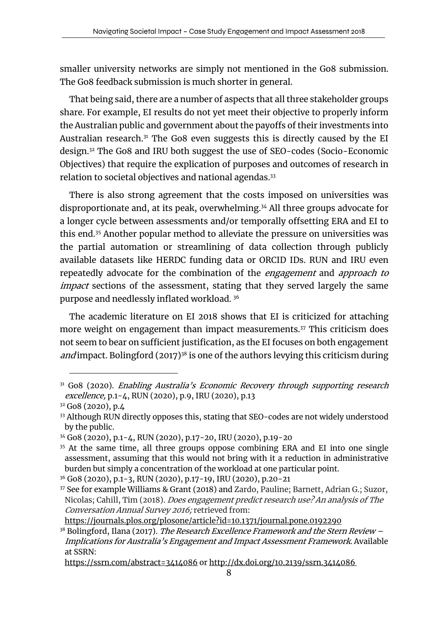smaller university networks are simply not mentioned in the Go8 submission. The Go8 feedback submission is much shorter in general.

That being said, there are a number of aspects that all three stakeholder groups share. For example, EI results do not yet meet their objective to properly inform the Australian public and government about the payoffs of their investments into Australian research. $31$  The Go8 even suggests this is directly caused by the EI design.32 The Go8 and IRU both suggest the use of SEO-codes (Socio-Economic Objectives) that require the explication of purposes and outcomes of research in relation to societal objectives and national agendas. 33

There is also strong agreement that the costs imposed on universities was disproportionate and, at its peak, overwhelming.<sup>34</sup> All three groups advocate for a longer cycle between assessments and/or temporally offsetting ERA and EI to this end.35 Another popular method to alleviate the pressure on universities was the partial automation or streamlining of data collection through publicly available datasets like HERDC funding data or ORCID IDs. RUN and IRU even repeatedly advocate for the combination of the *engagement* and *approach to impact* sections of the assessment, stating that they served largely the same purpose and needlessly inflated workload. 36

The academic literature on EI 2018 shows that EI is criticized for attaching more weight on engagement than impact measurements.<sup>37</sup> This criticism does not seem to bear on sufficient justification, as the EI focuses on both engagement and impact. Bolingford  $(2017)^{38}$  is one of the authors levying this criticism during

https://journals.plos.org/plosone/article?id=10.1371/journal.pone.0192290

 $31$  Go8 (2020). Enabling Australia's Economic Recovery through supporting research excellence, p.1-4, RUN (2020), p.9, IRU (2020), p.13

<sup>32</sup> Go8 (2020), p.4

<sup>33</sup> Although RUN directly opposes this, stating that SEO-codes are not widely understood by the public.

<sup>34</sup> Go8 (2020), p.1-4, RUN (2020), p.17-20, IRU (2020), p.19-20

<sup>&</sup>lt;sup>35</sup> At the same time, all three groups oppose combining ERA and EI into one single assessment, assuming that this would not bring with it a reduction in administrative burden but simply a concentration of the workload at one particular point.

<sup>36</sup> Go8 (2020), p.1-3, RUN (2020), p.17-19, IRU (2020), p.20-21

<sup>37</sup> See for example Williams & Grant (2018) and Zardo, Pauline; Barnett, Adrian G.; Suzor, Nicolas; Cahill, Tim (2018). Does engagement predict research use? An analysis of The Conversation Annual Survey 2016; retrieved from:

 $38$  Bolingford, Ilana (2017). The Research Excellence Framework and the Stern Review – Implications for Australia's Engagement and Impact Assessment Framework. Available at SSRN:

https://ssrn.com/abstract=3414086 or http://dx.doi.org/10.2139/ssrn.3414086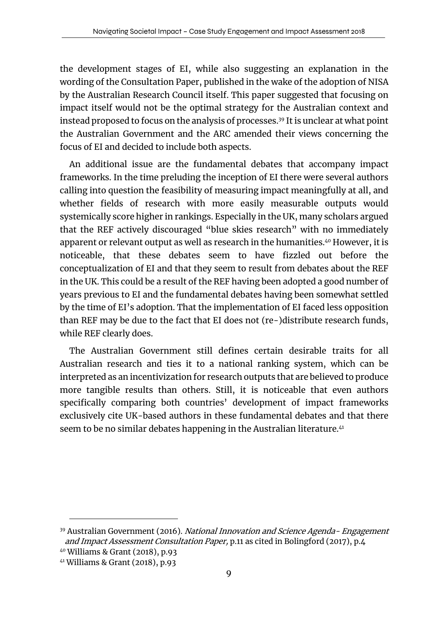the development stages of EI, while also suggesting an explanation in the wording of the Consultation Paper, published in the wake of the adoption of NISA by the Australian Research Council itself. This paper suggested that focusing on impact itself would not be the optimal strategy for the Australian context and instead proposed to focus on the analysis of processes.39 It is unclear at what point the Australian Government and the ARC amended their views concerning the focus of EI and decided to include both aspects.

An additional issue are the fundamental debates that accompany impact frameworks. In the time preluding the inception of EI there were several authors calling into question the feasibility of measuring impact meaningfully at all, and whether fields of research with more easily measurable outputs would systemically score higher in rankings. Especially in the UK, many scholars argued that the REF actively discouraged "blue skies research" with no immediately apparent or relevant output as well as research in the humanities.<sup>40</sup> However, it is noticeable, that these debates seem to have fizzled out before the conceptualization of EI and that they seem to result from debates about the REF in the UK. This could be a result of the REF having been adopted a good number of years previous to EI and the fundamental debates having been somewhat settled by the time of EI's adoption. That the implementation of EI faced less opposition than REF may be due to the fact that EI does not (re-)distribute research funds, while REF clearly does.

The Australian Government still defines certain desirable traits for all Australian research and ties it to a national ranking system, which can be interpreted as an incentivization for research outputs that are believed to produce more tangible results than others. Still, it is noticeable that even authors specifically comparing both countries' development of impact frameworks exclusively cite UK-based authors in these fundamental debates and that there seem to be no similar debates happening in the Australian literature.<sup>41</sup>

<sup>&</sup>lt;sup>39</sup> Australian Government (2016). *National Innovation and Science Agenda- Engagement* and Impact Assessment Consultation Paper, p.11 as cited in Bolingford (2017), p.4

<sup>40</sup> Williams & Grant (2018), p.93

<sup>41</sup> Williams & Grant (2018), p.93